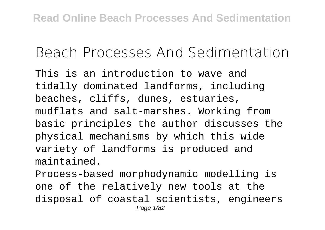## **Beach Processes And Sedimentation**

This is an introduction to wave and tidally dominated landforms, including beaches, cliffs, dunes, estuaries, mudflats and salt-marshes. Working from basic principles the author discusses the physical mechanisms by which this wide variety of landforms is produced and maintained.

Process-based morphodynamic modelling is one of the relatively new tools at the disposal of coastal scientists, engineers Page 1/82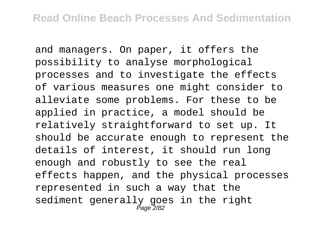and managers. On paper, it offers the possibility to analyse morphological processes and to investigate the effects of various measures one might consider to alleviate some problems. For these to be applied in practice, a model should be relatively straightforward to set up. It should be accurate enough to represent the details of interest, it should run long enough and robustly to see the real effects happen, and the physical processes represented in such a way that the sediment generally goes in the right Page 2/82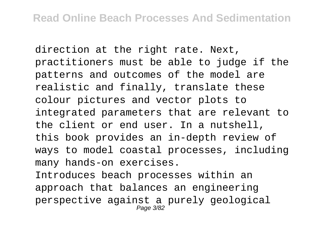direction at the right rate. Next, practitioners must be able to judge if the patterns and outcomes of the model are realistic and finally, translate these colour pictures and vector plots to integrated parameters that are relevant to the client or end user. In a nutshell, this book provides an in-depth review of ways to model coastal processes, including many hands-on exercises.

Introduces beach processes within an approach that balances an engineering perspective against a purely geological Page 3/82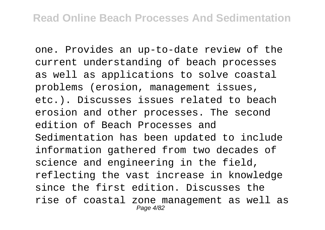one. Provides an up-to-date review of the current understanding of beach processes as well as applications to solve coastal problems (erosion, management issues, etc.). Discusses issues related to beach erosion and other processes. The second edition of Beach Processes and Sedimentation has been updated to include information gathered from two decades of science and engineering in the field, reflecting the vast increase in knowledge since the first edition. Discusses the rise of coastal zone management as well as Page 4/82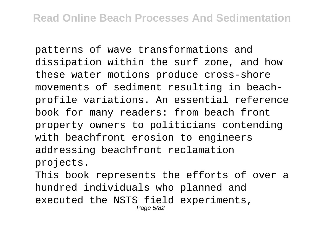patterns of wave transformations and dissipation within the surf zone, and how these water motions produce cross-shore movements of sediment resulting in beachprofile variations. An essential reference book for many readers: from beach front property owners to politicians contending with beachfront erosion to engineers addressing beachfront reclamation projects.

This book represents the efforts of over a hundred individuals who planned and executed the NSTS field experiments, Page 5/82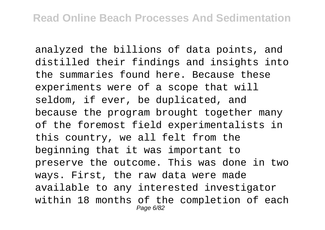analyzed the billions of data points, and distilled their findings and insights into the summaries found here. Because these experiments were of a scope that will seldom, if ever, be duplicated, and because the program brought together many of the foremost field experimentalists in this country, we all felt from the beginning that it was important to preserve the outcome. This was done in two ways. First, the raw data were made available to any interested investigator within 18 months of the completion of each Page 6/82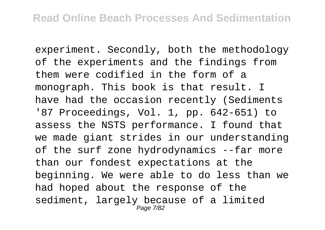experiment. Secondly, both the methodology of the experiments and the findings from them were codified in the form of a monograph. This book is that result. I have had the occasion recently (Sediments '87 Proceedings, Vol. 1, pp. 642-651) to assess the NSTS performance. I found that we made giant strides in our understanding of the surf zone hydrodynamics --far more than our fondest expectations at the beginning. We were able to do less than we had hoped about the response of the sediment, largely because of a limited Page 7/82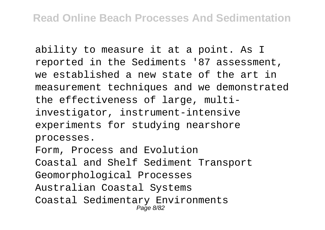ability to measure it at a point. As I reported in the Sediments '87 assessment, we established a new state of the art in measurement techniques and we demonstrated the effectiveness of large, multiinvestigator, instrument-intensive experiments for studying nearshore processes.

Form, Process and Evolution Coastal and Shelf Sediment Transport Geomorphological Processes Australian Coastal Systems Coastal Sedimentary Environments Page 8/82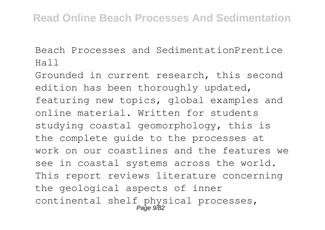Beach Processes and SedimentationPrentice Hall

Grounded in current research, this second edition has been thoroughly updated, featuring new topics, global examples and online material. Written for students studying coastal geomorphology, this is the complete guide to the processes at work on our coastlines and the features we see in coastal systems across the world. This report reviews literature concerning the geological aspects of inner continental shelf physical processes, Page 9782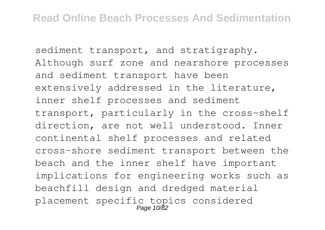sediment transport, and stratigraphy. Although surf zone and nearshore processes and sediment transport have been extensively addressed in the literature, inner shelf processes and sediment transport, particularly in the cross-shelf direction, are not well understood. Inner continental shelf processes and related cross-shore sediment transport between the beach and the inner shelf have important implications for engineering works such as beachfill design and dredged material placement specific topics considered<br>Page 10/82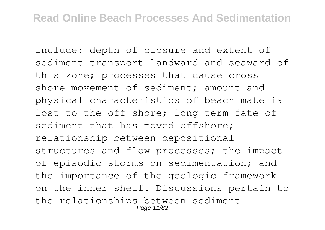include: depth of closure and extent of sediment transport landward and seaward of this zone; processes that cause crossshore movement of sediment; amount and physical characteristics of beach material lost to the off-shore; long-term fate of sediment that has moved offshore; relationship between depositional structures and flow processes; the impact of episodic storms on sedimentation; and the importance of the geologic framework on the inner shelf. Discussions pertain to the relationships between sediment Page 11/82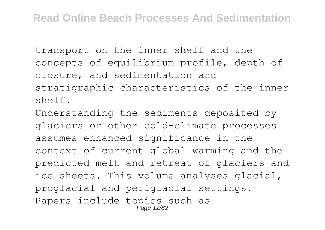transport on the inner shelf and the concepts of equilibrium profile, depth of closure, and sedimentation and stratigraphic characteristics of the inner shelf.

Understanding the sediments deposited by glaciers or other cold-climate processes assumes enhanced significance in the context of current global warming and the predicted melt and retreat of glaciers and ice sheets. This volume analyses glacial, proglacial and periglacial settings. Papers include topics such as Page 12/82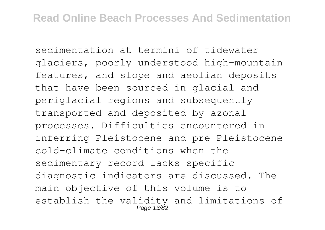sedimentation at termini of tidewater glaciers, poorly understood high-mountain features, and slope and aeolian deposits that have been sourced in glacial and periglacial regions and subsequently transported and deposited by azonal processes. Difficulties encountered in inferring Pleistocene and pre-Pleistocene cold-climate conditions when the sedimentary record lacks specific diagnostic indicators are discussed. The main objective of this volume is to establish the validity and limitations of Page 13/82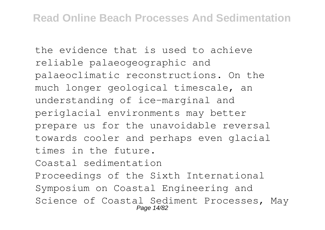the evidence that is used to achieve reliable palaeogeographic and palaeoclimatic reconstructions. On the much longer geological timescale, an understanding of ice-marginal and periglacial environments may better prepare us for the unavoidable reversal towards cooler and perhaps even glacial times in the future. Coastal sedimentation

Proceedings of the Sixth International Symposium on Coastal Engineering and Science of Coastal Sediment Processes, May Page 14/82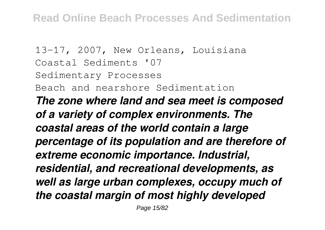13-17, 2007, New Orleans, Louisiana Coastal Sediments '07 Sedimentary Processes Beach and nearshore Sedimentation *The zone where land and sea meet is composed of a variety of complex environments. The coastal areas of the world contain a large percentage of its population and are therefore of extreme economic importance. Industrial, residential, and recreational developments, as well as large urban complexes, occupy much of the coastal margin of most highly developed*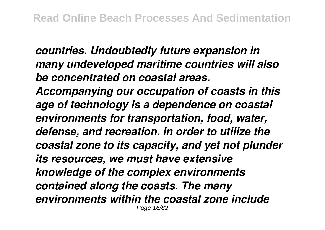*countries. Undoubtedly future expansion in many undeveloped maritime countries will also be concentrated on coastal areas. Accompanying our occupation of coasts in this age of technology is a dependence on coastal environments for transportation, food, water, defense, and recreation. In order to utilize the coastal zone to its capacity, and yet not plunder its resources, we must have extensive knowledge of the complex environments contained along the coasts. The many environments within the coastal zone include* Page 16/82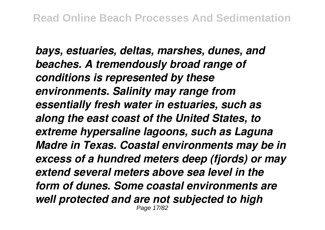*bays, estuaries, deltas, marshes, dunes, and beaches. A tremendously broad range of conditions is represented by these environments. Salinity may range from essentially fresh water in estuaries, such as along the east coast of the United States, to extreme hypersaline lagoons, such as Laguna Madre in Texas. Coastal environments may be in excess of a hundred meters deep (fjords) or may extend several meters above sea level in the form of dunes. Some coastal environments are well protected and are not subjected to high* Page 17/82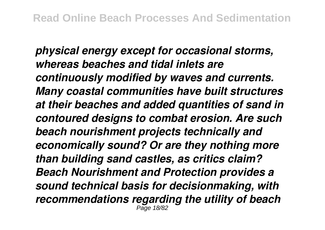*physical energy except for occasional storms, whereas beaches and tidal inlets are continuously modified by waves and currents. Many coastal communities have built structures at their beaches and added quantities of sand in contoured designs to combat erosion. Are such beach nourishment projects technically and economically sound? Or are they nothing more than building sand castles, as critics claim? Beach Nourishment and Protection provides a sound technical basis for decisionmaking, with recommendations regarding the utility of beach* Page 18/82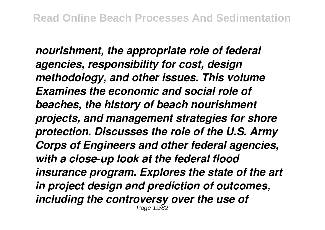*nourishment, the appropriate role of federal agencies, responsibility for cost, design methodology, and other issues. This volume Examines the economic and social role of beaches, the history of beach nourishment projects, and management strategies for shore protection. Discusses the role of the U.S. Army Corps of Engineers and other federal agencies, with a close-up look at the federal flood insurance program. Explores the state of the art in project design and prediction of outcomes, including the controversy over the use of* Page 19/82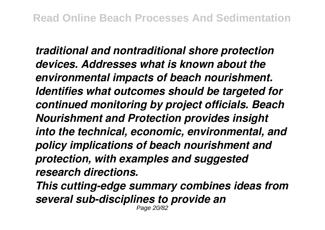*traditional and nontraditional shore protection devices. Addresses what is known about the environmental impacts of beach nourishment. Identifies what outcomes should be targeted for continued monitoring by project officials. Beach Nourishment and Protection provides insight into the technical, economic, environmental, and policy implications of beach nourishment and protection, with examples and suggested research directions.*

*This cutting-edge summary combines ideas from several sub-disciplines to provide an* Page 20/82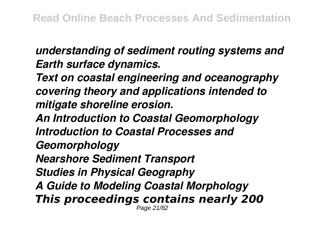*understanding of sediment routing systems and Earth surface dynamics.*

*Text on coastal engineering and oceanography covering theory and applications intended to mitigate shoreline erosion.*

*An Introduction to Coastal Geomorphology Introduction to Coastal Processes and Geomorphology Nearshore Sediment Transport Studies in Physical Geography A Guide to Modeling Coastal Morphology This proceedings contains nearly 200* Page 21/82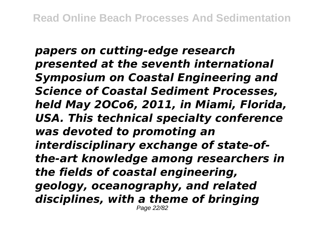*papers on cutting-edge research presented at the seventh international Symposium on Coastal Engineering and Science of Coastal Sediment Processes, held May 2OCo6, 2011, in Miami, Florida, USA. This technical specialty conference was devoted to promoting an interdisciplinary exchange of state-ofthe-art knowledge among researchers in the fields of coastal engineering, geology, oceanography, and related disciplines, with a theme of bringing* Page 22/82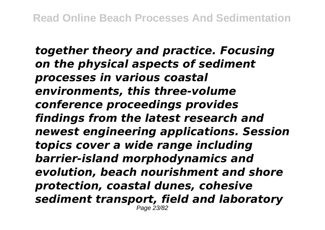*together theory and practice. Focusing on the physical aspects of sediment processes in various coastal environments, this three-volume conference proceedings provides findings from the latest research and newest engineering applications. Session topics cover a wide range including barrier-island morphodynamics and evolution, beach nourishment and shore protection, coastal dunes, cohesive sediment transport, field and laboratory* Page 23/82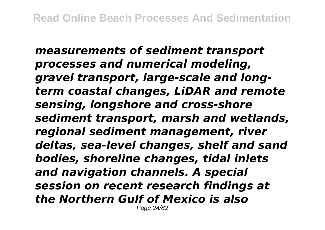*measurements of sediment transport processes and numerical modeling, gravel transport, large-scale and longterm coastal changes, LiDAR and remote sensing, longshore and cross-shore sediment transport, marsh and wetlands, regional sediment management, river deltas, sea-level changes, shelf and sand bodies, shoreline changes, tidal inlets and navigation channels. A special session on recent research findings at the Northern Gulf of Mexico is also* Page 24/82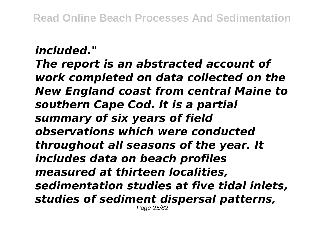## *included."*

*The report is an abstracted account of work completed on data collected on the New England coast from central Maine to southern Cape Cod. It is a partial summary of six years of field observations which were conducted throughout all seasons of the year. It includes data on beach profiles measured at thirteen localities, sedimentation studies at five tidal inlets, studies of sediment dispersal patterns,* Page 25/82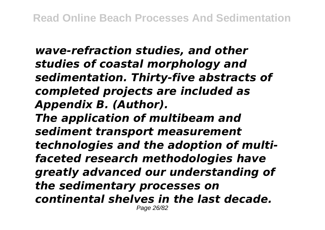*wave-refraction studies, and other studies of coastal morphology and sedimentation. Thirty-five abstracts of completed projects are included as Appendix B. (Author). The application of multibeam and sediment transport measurement technologies and the adoption of multifaceted research methodologies have greatly advanced our understanding of the sedimentary processes on continental shelves in the last decade.* Page 26/82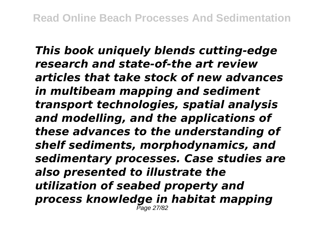*This book uniquely blends cutting-edge research and state-of-the art review articles that take stock of new advances in multibeam mapping and sediment transport technologies, spatial analysis and modelling, and the applications of these advances to the understanding of shelf sediments, morphodynamics, and sedimentary processes. Case studies are also presented to illustrate the utilization of seabed property and process knowledge in habitat mapping* Page 27/82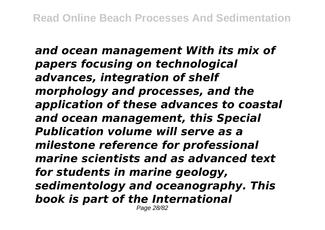*and ocean management With its mix of papers focusing on technological advances, integration of shelf morphology and processes, and the application of these advances to coastal and ocean management, this Special Publication volume will serve as a milestone reference for professional marine scientists and as advanced text for students in marine geology, sedimentology and oceanography. This book is part of the International* Page 28/82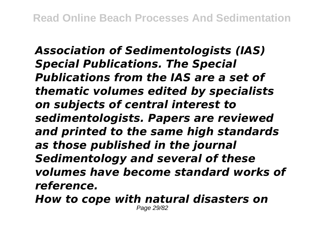*Association of Sedimentologists (IAS) Special Publications. The Special Publications from the IAS are a set of thematic volumes edited by specialists on subjects of central interest to sedimentologists. Papers are reviewed and printed to the same high standards as those published in the journal Sedimentology and several of these volumes have become standard works of reference.*

*How to cope with natural disasters on* Page 29/82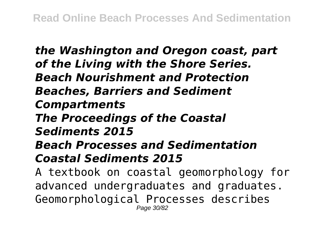*the Washington and Oregon coast, part of the Living with the Shore Series. Beach Nourishment and Protection Beaches, Barriers and Sediment Compartments The Proceedings of the Coastal Sediments 2015 Beach Processes and Sedimentation Coastal Sediments 2015* A textbook on coastal geomorphology for advanced undergraduates and graduates.

Geomorphological Processes describes Page 30/82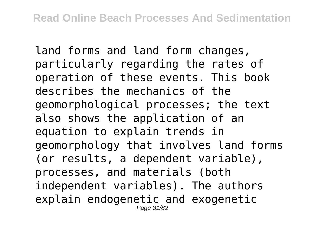land forms and land form changes, particularly regarding the rates of operation of these events. This book describes the mechanics of the geomorphological processes; the text also shows the application of an equation to explain trends in geomorphology that involves land forms (or results, a dependent variable), processes, and materials (both independent variables). The authors explain endogenetic and exogenetic Page 31/82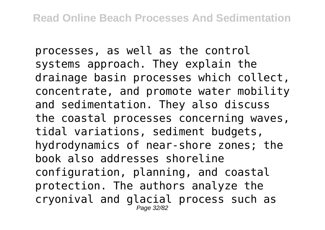processes, as well as the control systems approach. They explain the drainage basin processes which collect, concentrate, and promote water mobility and sedimentation. They also discuss the coastal processes concerning waves, tidal variations, sediment budgets, hydrodynamics of near-shore zones; the book also addresses shoreline configuration, planning, and coastal protection. The authors analyze the cryonival and glacial process such as Page 32/82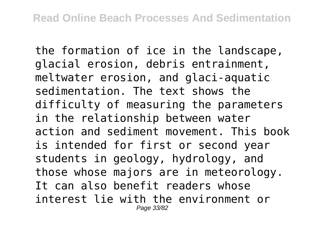the formation of ice in the landscape, glacial erosion, debris entrainment, meltwater erosion, and glaci-aquatic sedimentation. The text shows the difficulty of measuring the parameters in the relationship between water action and sediment movement. This book is intended for first or second year students in geology, hydrology, and those whose majors are in meteorology. It can also benefit readers whose interest lie with the environment or Page 33/82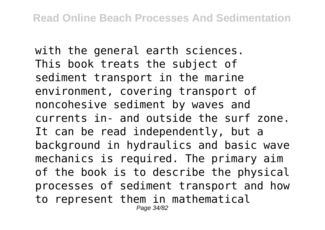with the general earth sciences. This book treats the subject of sediment transport in the marine environment, covering transport of noncohesive sediment by waves and currents in- and outside the surf zone. It can be read independently, but a background in hydraulics and basic wave mechanics is required. The primary aim of the book is to describe the physical processes of sediment transport and how to represent them in mathematical Page 34/82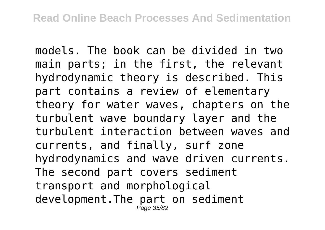models. The book can be divided in two main parts; in the first, the relevant hydrodynamic theory is described. This part contains a review of elementary theory for water waves, chapters on the turbulent wave boundary layer and the turbulent interaction between waves and currents, and finally, surf zone hydrodynamics and wave driven currents. The second part covers sediment transport and morphological development.The part on sediment Page 35/82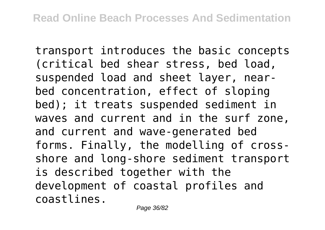transport introduces the basic concepts (critical bed shear stress, bed load, suspended load and sheet layer, nearbed concentration, effect of sloping bed); it treats suspended sediment in waves and current and in the surf zone, and current and wave-generated bed forms. Finally, the modelling of crossshore and long-shore sediment transport is described together with the development of coastal profiles and coastlines.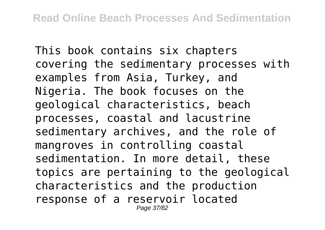This book contains six chapters covering the sedimentary processes with examples from Asia, Turkey, and Nigeria. The book focuses on the geological characteristics, beach processes, coastal and lacustrine sedimentary archives, and the role of mangroves in controlling coastal sedimentation. In more detail, these topics are pertaining to the geological characteristics and the production response of a reservoir located Page 37/82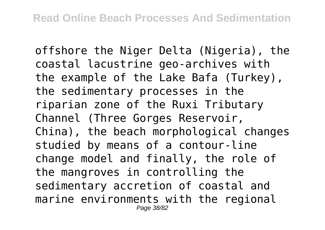offshore the Niger Delta (Nigeria), the coastal lacustrine geo-archives with the example of the Lake Bafa (Turkey), the sedimentary processes in the riparian zone of the Ruxi Tributary Channel (Three Gorges Reservoir, China), the beach morphological changes studied by means of a contour-line change model and finally, the role of the mangroves in controlling the sedimentary accretion of coastal and marine environments with the regional Page 38/82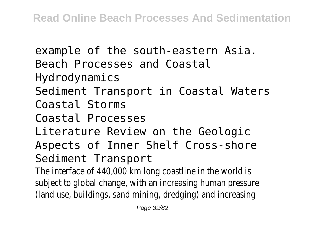example of the south-eastern Asia. Beach Processes and Coastal Hydrodynamics Sediment Transport in Coastal Waters Coastal Storms Coastal Processes Literature Review on the Geologic Aspects of Inner Shelf Cross-shore Sediment Transport The interface of 440,000 km long coastline in the world is subject to global change, with an increasing human pressure (land use, buildings, sand mining, dredging) and increasing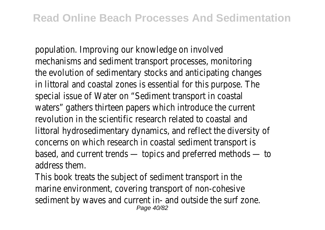population. Improving our knowledge on involved mechanisms and sediment transport processes, monitoring the evolution of sedimentary stocks and anticipating changes in littoral and coastal zones is essential for this purpose. The special issue of Water on "Sediment transport in coastal waters" gathers thirteen papers which introduce the current revolution in the scientific research related to coastal and littoral hydrosedimentary dynamics, and reflect the diversity of concerns on which research in coastal sediment transport is based, and current trends — topics and preferred methods — to address them.

This book treats the subject of sediment transport in the marine environment, covering transport of non-cohesive sediment by waves and current in- and outside the surf zone. Page 40/82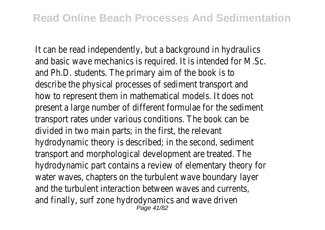It can be read independently, but a background in hydraulics and basic wave mechanics is required. It is intended for M.Sc. and Ph.D. students. The primary aim of the book is to describe the physical processes of sediment transport and how to represent them in mathematical models. It does not present a large number of different formulae for the sediment transport rates under various conditions. The book can be divided in two main parts; in the first, the relevant hydrodynamic theory is described; in the second, sediment transport and morphological development are treated. The hydrodynamic part contains a review of elementary theory for water waves, chapters on the turbulent wave boundary layer and the turbulent interaction between waves and currents, and finally, surf zone hydrodynamics and wave driven Page 41/82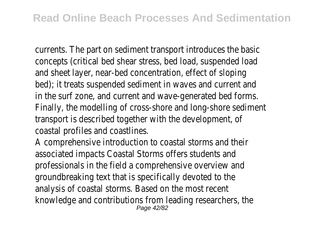currents. The part on sediment transport introduces the basic concepts (critical bed shear stress, bed load, suspended load and sheet layer, near-bed concentration, effect of sloping bed); it treats suspended sediment in waves and current and in the surf zone, and current and wave-generated bed forms. Finally, the modelling of cross-shore and long-shore sediment transport is described together with the development, of coastal profiles and coastlines.

A comprehensive introduction to coastal storms and their associated impacts Coastal Storms offers students and professionals in the field a comprehensive overview and groundbreaking text that is specifically devoted to the analysis of coastal storms. Based on the most recent knowledge and contributions from leading researchers, the Page 42/82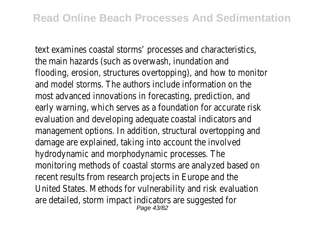text examines coastal storms' processes and characteristics, the main hazards (such as overwash, inundation and flooding, erosion, structures overtopping), and how to monitor and model storms. The authors include information on the most advanced innovations in forecasting, prediction, and early warning, which serves as a foundation for accurate risk evaluation and developing adequate coastal indicators and management options. In addition, structural overtopping and damage are explained, taking into account the involved hydrodynamic and morphodynamic processes. The monitoring methods of coastal storms are analyzed based on recent results from research projects in Europe and the United States. Methods for vulnerability and risk evaluation are detailed, storm impact indicators are suggested for Page 43/82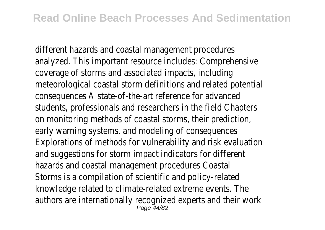different hazards and coastal management procedures analyzed. This important resource includes: Comprehensive coverage of storms and associated impacts, including meteorological coastal storm definitions and related potential consequences A state-of-the-art reference for advanced students, professionals and researchers in the field Chapters on monitoring methods of coastal storms, their prediction, early warning systems, and modeling of consequences Explorations of methods for vulnerability and risk evaluation and suggestions for storm impact indicators for different hazards and coastal management procedures Coastal Storms is a compilation of scientific and policy-related knowledge related to climate-related extreme events. The authors are internationally recognized experts and their work Page 44/82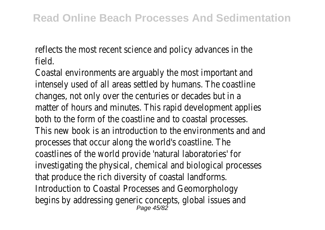reflects the most recent science and policy advances in the field.

Coastal environments are arguably the most important and intensely used of all areas settled by humans. The coastline changes, not only over the centuries or decades but in a matter of hours and minutes. This rapid development applies both to the form of the coastline and to coastal processes. This new book is an introduction to the environments and and processes that occur along the world's coastline. The coastlines of the world provide 'natural laboratories' for investigating the physical, chemical and biological processes that produce the rich diversity of coastal landforms. Introduction to Coastal Processes and Geomorphology begins by addressing generic concepts, global issues and Page 45/82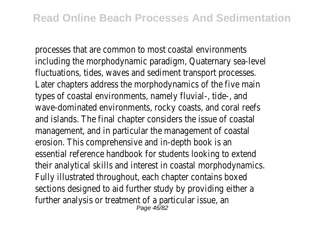processes that are common to most coastal environments including the morphodynamic paradigm, Quaternary sea-level fluctuations, tides, waves and sediment transport processes. Later chapters address the morphodynamics of the five main types of coastal environments, namely fluvial-, tide-, and wave-dominated environments, rocky coasts, and coral reefs and islands. The final chapter considers the issue of coastal management, and in particular the management of coastal erosion. This comprehensive and in-depth book is an essential reference handbook for students looking to extend their analytical skills and interest in coastal morphodynamics. Fully illustrated throughout, each chapter contains boxed sections designed to aid further study by providing either a further analysis or treatment of a particular issue, an Page 46/82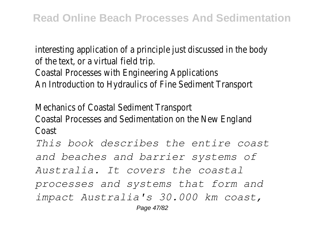interesting application of a principle just discussed in the body of the text, or a virtual field trip. Coastal Processes with Engineering Applications An Introduction to Hydraulics of Fine Sediment Transport

Mechanics of Coastal Sediment Transport Coastal Processes and Sedimentation on the New England Coast

*This book describes the entire coast and beaches and barrier systems of Australia. It covers the coastal processes and systems that form and impact Australia's 30.000 km coast,* Page 47/82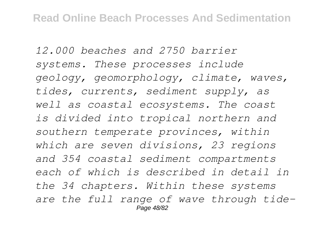*12.000 beaches and 2750 barrier systems. These processes include geology, geomorphology, climate, waves, tides, currents, sediment supply, as well as coastal ecosystems. The coast is divided into tropical northern and southern temperate provinces, within which are seven divisions, 23 regions and 354 coastal sediment compartments each of which is described in detail in the 34 chapters. Within these systems are the full range of wave through tide-*Page 48/82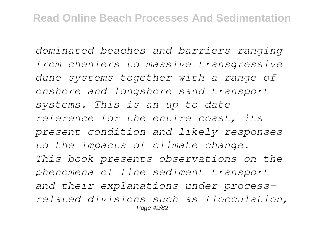*dominated beaches and barriers ranging from cheniers to massive transgressive dune systems together with a range of onshore and longshore sand transport systems. This is an up to date reference for the entire coast, its present condition and likely responses to the impacts of climate change. This book presents observations on the phenomena of fine sediment transport and their explanations under processrelated divisions such as flocculation,* Page 49/82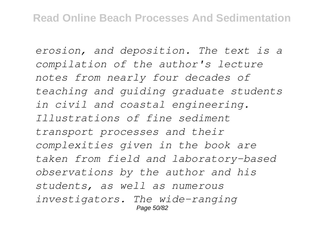*erosion, and deposition. The text is a compilation of the author's lecture notes from nearly four decades of teaching and guiding graduate students in civil and coastal engineering. Illustrations of fine sediment transport processes and their complexities given in the book are taken from field and laboratory-based observations by the author and his students, as well as numerous investigators. The wide-ranging* Page 50/82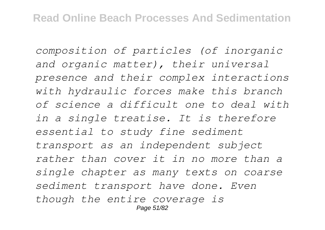*composition of particles (of inorganic and organic matter), their universal presence and their complex interactions with hydraulic forces make this branch of science a difficult one to deal with in a single treatise. It is therefore essential to study fine sediment transport as an independent subject rather than cover it in no more than a single chapter as many texts on coarse sediment transport have done. Even though the entire coverage is* Page 51/82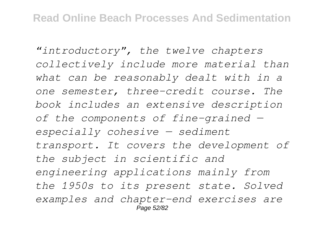*"introductory", the twelve chapters collectively include more material than what can be reasonably dealt with in a one semester, three-credit course. The book includes an extensive description of the components of fine-grained especially cohesive — sediment transport. It covers the development of the subject in scientific and engineering applications mainly from the 1950s to its present state. Solved examples and chapter-end exercises are* Page 52/82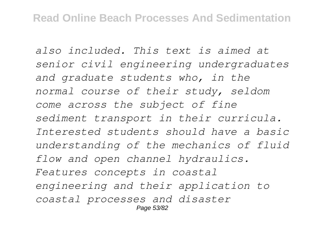*also included. This text is aimed at senior civil engineering undergraduates and graduate students who, in the normal course of their study, seldom come across the subject of fine sediment transport in their curricula. Interested students should have a basic understanding of the mechanics of fluid flow and open channel hydraulics. Features concepts in coastal engineering and their application to coastal processes and disaster* Page 53/82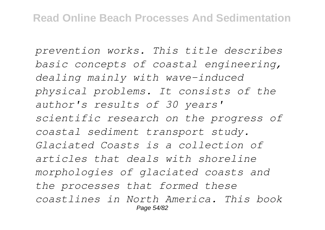*prevention works. This title describes basic concepts of coastal engineering, dealing mainly with wave-induced physical problems. It consists of the author's results of 30 years' scientific research on the progress of coastal sediment transport study. Glaciated Coasts is a collection of articles that deals with shoreline morphologies of glaciated coasts and the processes that formed these coastlines in North America. This book* Page 54/82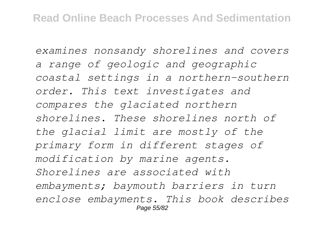*examines nonsandy shorelines and covers a range of geologic and geographic coastal settings in a northern-southern order. This text investigates and compares the glaciated northern shorelines. These shorelines north of the glacial limit are mostly of the primary form in different stages of modification by marine agents. Shorelines are associated with embayments; baymouth barriers in turn enclose embayments. This book describes* Page 55/82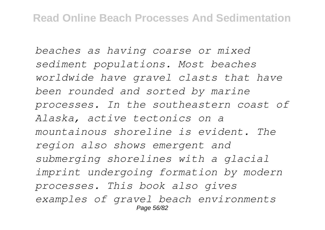*beaches as having coarse or mixed sediment populations. Most beaches worldwide have gravel clasts that have been rounded and sorted by marine processes. In the southeastern coast of Alaska, active tectonics on a mountainous shoreline is evident. The region also shows emergent and submerging shorelines with a glacial imprint undergoing formation by modern processes. This book also gives examples of gravel beach environments* Page 56/82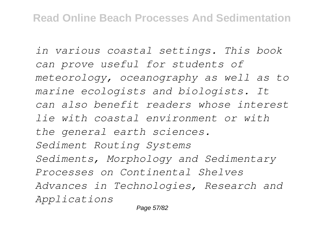*in various coastal settings. This book can prove useful for students of meteorology, oceanography as well as to marine ecologists and biologists. It can also benefit readers whose interest lie with coastal environment or with the general earth sciences. Sediment Routing Systems Sediments, Morphology and Sedimentary Processes on Continental Shelves Advances in Technologies, Research and Applications*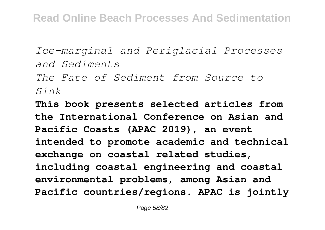*Ice-marginal and Periglacial Processes and Sediments*

*The Fate of Sediment from Source to Sink*

**This book presents selected articles from the International Conference on Asian and Pacific Coasts (APAC 2019), an event intended to promote academic and technical exchange on coastal related studies, including coastal engineering and coastal environmental problems, among Asian and Pacific countries/regions. APAC is jointly**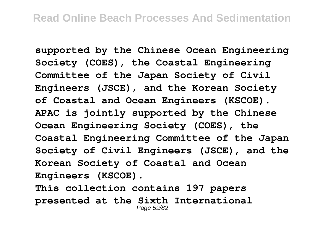**supported by the Chinese Ocean Engineering Society (COES), the Coastal Engineering Committee of the Japan Society of Civil Engineers (JSCE), and the Korean Society of Coastal and Ocean Engineers (KSCOE). APAC is jointly supported by the Chinese Ocean Engineering Society (COES), the Coastal Engineering Committee of the Japan Society of Civil Engineers (JSCE), and the Korean Society of Coastal and Ocean Engineers (KSCOE).**

**This collection contains 197 papers presented at the Sixth International** Page 59/82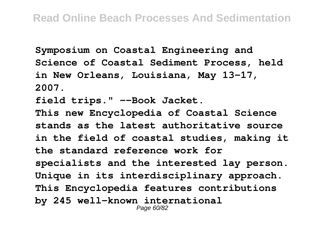**Symposium on Coastal Engineering and Science of Coastal Sediment Process, held in New Orleans, Louisiana, May 13-17, 2007.**

**field trips." --Book Jacket.**

**This new Encyclopedia of Coastal Science stands as the latest authoritative source in the field of coastal studies, making it the standard reference work for specialists and the interested lay person. Unique in its interdisciplinary approach. This Encyclopedia features contributions by 245 well-known international** Page 60/82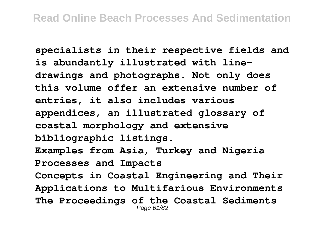**specialists in their respective fields and is abundantly illustrated with linedrawings and photographs. Not only does this volume offer an extensive number of entries, it also includes various appendices, an illustrated glossary of coastal morphology and extensive bibliographic listings. Examples from Asia, Turkey and Nigeria Processes and Impacts Concepts in Coastal Engineering and Their Applications to Multifarious Environments The Proceedings of the Coastal Sediments** Page 61/82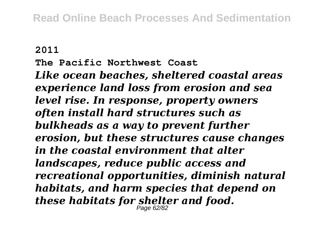## **2011**

**The Pacific Northwest Coast**

*Like ocean beaches, sheltered coastal areas experience land loss from erosion and sea level rise. In response, property owners often install hard structures such as bulkheads as a way to prevent further erosion, but these structures cause changes in the coastal environment that alter landscapes, reduce public access and recreational opportunities, diminish natural habitats, and harm species that depend on these habitats for shelter and food.* Page 62/82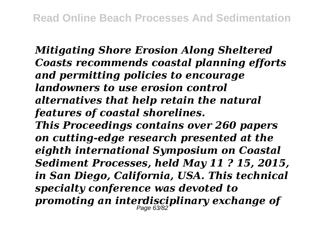*Mitigating Shore Erosion Along Sheltered Coasts recommends coastal planning efforts and permitting policies to encourage landowners to use erosion control alternatives that help retain the natural features of coastal shorelines. This Proceedings contains over 260 papers on cutting-edge research presented at the eighth international Symposium on Coastal Sediment Processes, held May 11 ? 15, 2015, in San Diego, California, USA. This technical specialty conference was devoted to promoting an interdisciplinary exchange of* Page 63/82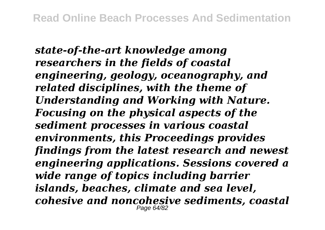*state-of-the-art knowledge among researchers in the fields of coastal engineering, geology, oceanography, and related disciplines, with the theme of Understanding and Working with Nature. Focusing on the physical aspects of the sediment processes in various coastal environments, this Proceedings provides findings from the latest research and newest engineering applications. Sessions covered a wide range of topics including barrier islands, beaches, climate and sea level, cohesive and noncohesive sediments, coastal* Page 64/82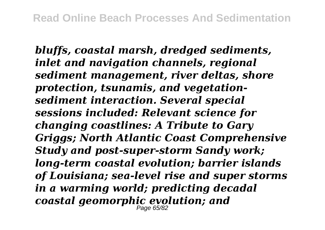*bluffs, coastal marsh, dredged sediments, inlet and navigation channels, regional sediment management, river deltas, shore protection, tsunamis, and vegetationsediment interaction. Several special sessions included: Relevant science for changing coastlines: A Tribute to Gary Griggs; North Atlantic Coast Comprehensive Study and post-super-storm Sandy work; long-term coastal evolution; barrier islands of Louisiana; sea-level rise and super storms in a warming world; predicting decadal coastal geomorphic evolution; and* Page 65/82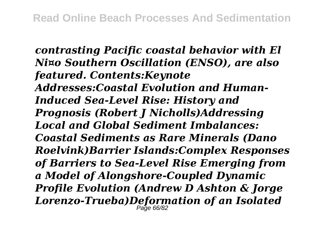*contrasting Pacific coastal behavior with El Ni¤o Southern Oscillation (ENSO), are also featured. Contents:Keynote Addresses:Coastal Evolution and Human-Induced Sea-Level Rise: History and Prognosis (Robert J Nicholls)Addressing Local and Global Sediment Imbalances: Coastal Sediments as Rare Minerals (Dano Roelvink)Barrier Islands:Complex Responses of Barriers to Sea-Level Rise Emerging from a Model of Alongshore-Coupled Dynamic Profile Evolution (Andrew D Ashton & Jorge Lorenzo-Trueba)Deformation of an Isolated* Page 66/82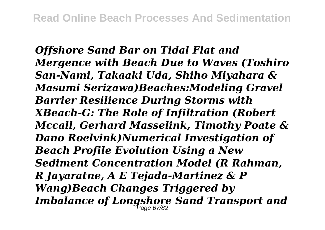*Offshore Sand Bar on Tidal Flat and Mergence with Beach Due to Waves (Toshiro San-Nami, Takaaki Uda, Shiho Miyahara & Masumi Serizawa)Beaches:Modeling Gravel Barrier Resilience During Storms with XBeach-G: The Role of Infiltration (Robert Mccall, Gerhard Masselink, Timothy Poate & Dano Roelvink)Numerical Investigation of Beach Profile Evolution Using a New Sediment Concentration Model (R Rahman, R Jayaratne, A E Tejada-Martinez & P Wang)Beach Changes Triggered by Imbalance of Longshore Sand Transport and* Page 67/82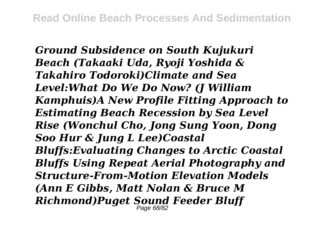*Ground Subsidence on South Kujukuri Beach (Takaaki Uda, Ryoji Yoshida & Takahiro Todoroki)Climate and Sea Level:What Do We Do Now? (J William Kamphuis)A New Profile Fitting Approach to Estimating Beach Recession by Sea Level Rise (Wonchul Cho, Jong Sung Yoon, Dong Soo Hur & Jung L Lee)Coastal Bluffs:Evaluating Changes to Arctic Coastal Bluffs Using Repeat Aerial Photography and Structure-From-Motion Elevation Models (Ann E Gibbs, Matt Nolan & Bruce M Richmond)Puget Sound Feeder Bluff* Page 68/82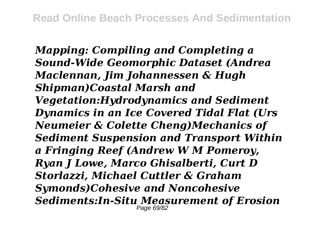*Mapping: Compiling and Completing a Sound-Wide Geomorphic Dataset (Andrea Maclennan, Jim Johannessen & Hugh Shipman)Coastal Marsh and Vegetation:Hydrodynamics and Sediment Dynamics in an Ice Covered Tidal Flat (Urs Neumeier & Colette Cheng)Mechanics of Sediment Suspension and Transport Within a Fringing Reef (Andrew W M Pomeroy, Ryan J Lowe, Marco Ghisalberti, Curt D Storlazzi, Michael Cuttler & Graham Symonds)Cohesive and Noncohesive Sediments:In-Situ Measurement of Erosion* Page 69/82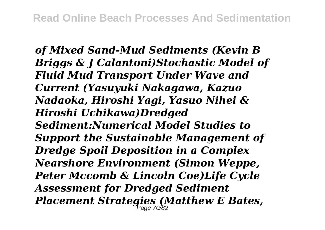*of Mixed Sand-Mud Sediments (Kevin B Briggs & J Calantoni)Stochastic Model of Fluid Mud Transport Under Wave and Current (Yasuyuki Nakagawa, Kazuo Nadaoka, Hiroshi Yagi, Yasuo Nihei & Hiroshi Uchikawa)Dredged Sediment:Numerical Model Studies to Support the Sustainable Management of Dredge Spoil Deposition in a Complex Nearshore Environment (Simon Weppe, Peter Mccomb & Lincoln Coe)Life Cycle Assessment for Dredged Sediment Placement Strategies (Matthew E Bates,* Page 70/82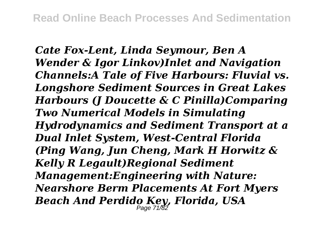*Cate Fox-Lent, Linda Seymour, Ben A Wender & Igor Linkov)Inlet and Navigation Channels:A Tale of Five Harbours: Fluvial vs. Longshore Sediment Sources in Great Lakes Harbours (J Doucette & C Pinilla)Comparing Two Numerical Models in Simulating Hydrodynamics and Sediment Transport at a Dual Inlet System, West-Central Florida (Ping Wang, Jun Cheng, Mark H Horwitz & Kelly R Legault)Regional Sediment Management:Engineering with Nature: Nearshore Berm Placements At Fort Myers Beach And Perdido Key, Florida, USA* Page 71/82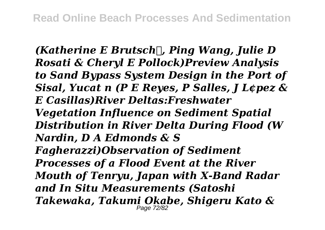*(Katherine E Brutsch, Ping Wang, Julie D Rosati & Cheryl E Pollock)Preview Analysis to Sand Bypass System Design in the Port of Sisal, Yucat n (P E Reyes, P Salles, J L¢pez & E Casillas)River Deltas:Freshwater Vegetation Influence on Sediment Spatial Distribution in River Delta During Flood (W Nardin, D A Edmonds & S Fagherazzi)Observation of Sediment Processes of a Flood Event at the River Mouth of Tenryu, Japan with X-Band Radar and In Situ Measurements (Satoshi Takewaka, Takumi Okabe, Shigeru Kato &*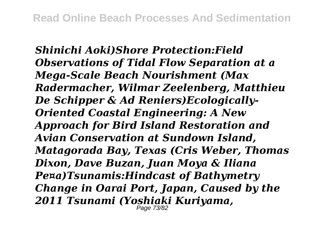*Shinichi Aoki)Shore Protection:Field Observations of Tidal Flow Separation at a Mega-Scale Beach Nourishment (Max Radermacher, Wilmar Zeelenberg, Matthieu De Schipper & Ad Reniers)Ecologically-Oriented Coastal Engineering: A New Approach for Bird Island Restoration and Avian Conservation at Sundown Island, Matagorada Bay, Texas (Cris Weber, Thomas Dixon, Dave Buzan, Juan Moya & Iliana Pe¤a)Tsunamis:Hindcast of Bathymetry Change in Oarai Port, Japan, Caused by the 2011 Tsunami (Yoshiaki Kuriyama,* Page 73/82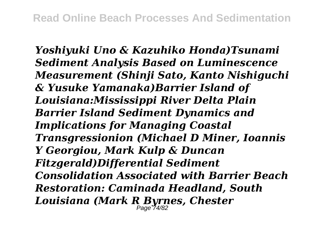*Yoshiyuki Uno & Kazuhiko Honda)Tsunami Sediment Analysis Based on Luminescence Measurement (Shinji Sato, Kanto Nishiguchi & Yusuke Yamanaka)Barrier Island of Louisiana:Mississippi River Delta Plain Barrier Island Sediment Dynamics and Implications for Managing Coastal Transgressionion (Michael D Miner, Ioannis Y Georgiou, Mark Kulp & Duncan Fitzgerald)Differential Sediment Consolidation Associated with Barrier Beach Restoration: Caminada Headland, South Louisiana (Mark R Byrnes, Chester* Page 74/82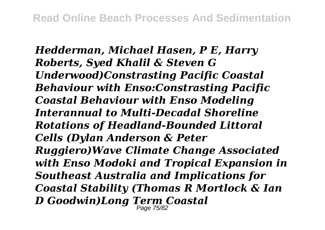*Hedderman, Michael Hasen, P E, Harry Roberts, Syed Khalil & Steven G Underwood)Constrasting Pacific Coastal Behaviour with Enso:Constrasting Pacific Coastal Behaviour with Enso Modeling Interannual to Multi-Decadal Shoreline Rotations of Headland-Bounded Littoral Cells (Dylan Anderson & Peter Ruggiero)Wave Climate Change Associated with Enso Modoki and Tropical Expansion in Southeast Australia and Implications for Coastal Stability (Thomas R Mortlock & Ian D Goodwin)Long Term Coastal* Page 75/82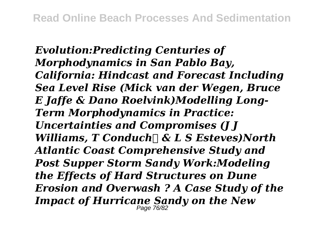*Evolution:Predicting Centuries of Morphodynamics in San Pablo Bay, California: Hindcast and Forecast Including Sea Level Rise (Mick van der Wegen, Bruce E Jaffe & Dano Roelvink)Modelling Long-Term Morphodynamics in Practice: Uncertainties and Compromises (J J Williams, T Conduch & L S Esteves)North Atlantic Coast Comprehensive Study and Post Supper Storm Sandy Work:Modeling the Effects of Hard Structures on Dune Erosion and Overwash ? A Case Study of the Impact of Hurricane Sandy on the New*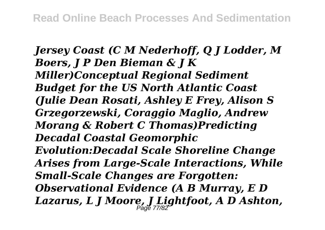*Jersey Coast (C M Nederhoff, Q J Lodder, M Boers, J P Den Bieman & J K Miller)Conceptual Regional Sediment Budget for the US North Atlantic Coast (Julie Dean Rosati, Ashley E Frey, Alison S Grzegorzewski, Coraggio Maglio, Andrew Morang & Robert C Thomas)Predicting Decadal Coastal Geomorphic Evolution:Decadal Scale Shoreline Change Arises from Large-Scale Interactions, While Small-Scale Changes are Forgotten: Observational Evidence (A B Murray, E D Lazarus, L J Moore, J Lightfoot, A D Ashton,* Page 77/82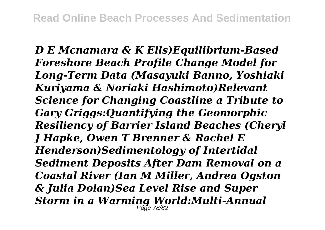*D E Mcnamara & K Ells)Equilibrium-Based Foreshore Beach Profile Change Model for Long-Term Data (Masayuki Banno, Yoshiaki Kuriyama & Noriaki Hashimoto)Relevant Science for Changing Coastline a Tribute to Gary Griggs:Quantifying the Geomorphic Resiliency of Barrier Island Beaches (Cheryl J Hapke, Owen T Brenner & Rachel E Henderson)Sedimentology of Intertidal Sediment Deposits After Dam Removal on a Coastal River (Ian M Miller, Andrea Ogston & Julia Dolan)Sea Level Rise and Super Storm in a Warming World:Multi-Annual* Page 78/82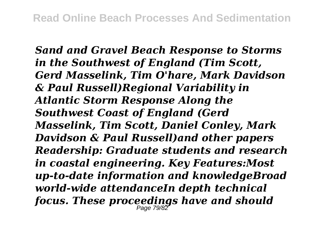*Sand and Gravel Beach Response to Storms in the Southwest of England (Tim Scott, Gerd Masselink, Tim O'hare, Mark Davidson & Paul Russell)Regional Variability in Atlantic Storm Response Along the Southwest Coast of England (Gerd Masselink, Tim Scott, Daniel Conley, Mark Davidson & Paul Russell)and other papers Readership: Graduate students and research in coastal engineering. Key Features:Most up-to-date information and knowledgeBroad world-wide attendanceIn depth technical focus. These proceedings have and should* Page 79/82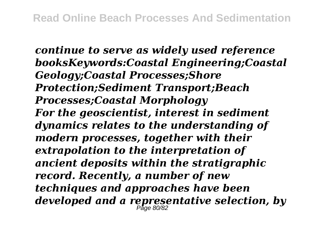*continue to serve as widely used reference booksKeywords:Coastal Engineering;Coastal Geology;Coastal Processes;Shore Protection;Sediment Transport;Beach Processes;Coastal Morphology For the geoscientist, interest in sediment dynamics relates to the understanding of modern processes, together with their extrapolation to the interpretation of ancient deposits within the stratigraphic record. Recently, a number of new techniques and approaches have been developed and a representative selection, by* Page 80/82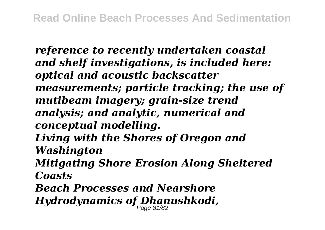*reference to recently undertaken coastal and shelf investigations, is included here: optical and acoustic backscatter measurements; particle tracking; the use of mutibeam imagery; grain-size trend analysis; and analytic, numerical and conceptual modelling. Living with the Shores of Oregon and Washington Mitigating Shore Erosion Along Sheltered Coasts Beach Processes and Nearshore Hydrodynamics of Dhanushkodi,* Page 81/82